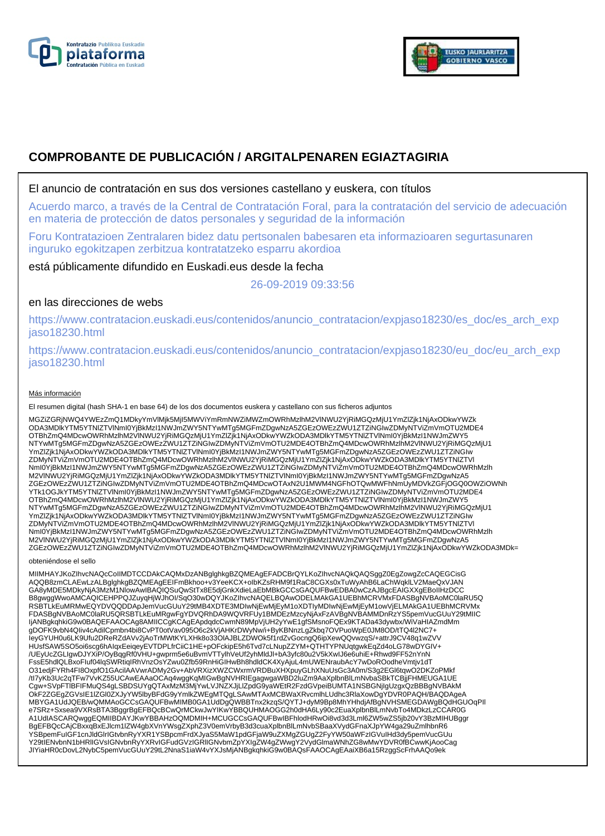



# **COMPROBANTE DE PUBLICACIÓN / ARGITALPENAREN EGIAZTAGIRIA**

### El anuncio de contratación en sus dos versiones castellano y euskera, con títulos

Acuerdo marco, a través de la Central de Contratación Foral, para la contratación del servicio de adecuación en materia de protección de datos personales y seguridad de la información

Foru Kontratazioen Zentralaren bidez datu pertsonalen babesaren eta informazioaren segurtasunaren inguruko egokitzapen zerbitzua kontratatzeko esparru akordioa

está públicamente difundido en Euskadi.eus desde la fecha

26-09-2019 09:33:56

## en las direcciones de webs

https://www.contratacion.euskadi.eus/contenidos/anuncio\_contratacion/expjaso18230/es\_doc/es\_arch\_exp jaso18230.html

https://www.contratacion.euskadi.eus/contenidos/anuncio\_contratacion/expjaso18230/eu\_doc/eu\_arch\_exp jaso18230.html

### Más información

El resumen digital (hash SHA-1 en base 64) de los dos documentos euskera y castellano con sus ficheros adjuntos

MGZiZGRjNWQ4YWEzZmQ1MDkyYmVlMjk5MjI5MWViYmRmNWZiMWZmOWRhMzlhM2VlNWU2YjRiMGQzMjU1YmZlZjk1NjAxODkwYWZk ODA3MDlkYTM5YTNlZTVlNmI0YjBkMzI1NWJmZWY5NTYwMTg5MGFmZDgwNzA5ZGEzOWEzZWU1ZTZiNGIwZDMyNTViZmVmOTU2MDE4 OTBhZmQ4MDcwOWRhMzlhM2VlNWU2YjRiMGQzMjU1YmZlZjk1NjAxODkwYWZkODA3MDlkYTM5YTNlZTVlNml0YjBkMzI1NWJmZWY5<br>NTYwMTg5MGFmZDgwNzA5ZGEzOWEzZWU1ZTZiNGIwZDMyNTViZmVmOTU2MDE4OTBhZmQ4MDcwOWRhMzlhM2VlNWU2YjRiMGQzMjU1 YmZlZjk1NjAxODkwYWZkODA3MDlkYTM5YTNIZTVlNmI0YjBkMzI1NWJmZWY5NTYwMTg5MGFmZDgwNzA5ZGEzOWEzZWU1ZTZiNGIw<br>ZDMyNTViZmVmOTU2MDE4OTBhZmQ4MDcwOWRhMzlhM2VlNWU2YjRiMGQzMjU1YmZlZjk1NjAxODkwYWZkODA3MDlkYTM5YTNIZTVI NmI0YjBkMzI1NWJmZWY5NTYwMTg5MGFmZDgwNzA5ZGEzOWEzZWU1ZTZiNGIwZDMyNTViZmVmOTU2MDE4OTBhZmQ4MDcwOWRhMzlh M2VlNWU2YjRiMGQzMjU1YmZlZjk1NjAxODkwYWZkODA3MDlkYTM5YTNlZTVlNmI0YjBkMzI1NWJmZWY5NTYwMTg5MGFmZDgwNzA5 ZGEzOWEzZWU1ZTZiNGIwZDMyNTViZmVmOTU2MDE4OTBhZmQ4MDcwOTAxN2U1MWM4NGFhOTQwMWFhNmUyMDVkZGFjOGQ0OWZiOWNh YTk1OGJkYTM5YTNIZTVINmI0YjBkMzI1NWJmZWY5NTYwMTg5MGFmZDgwNzA5ZGEzOWEzZWU1ZTZiNGIwZDMyNTViZmVmOTU2MDE4<br>OTBhZmQ4MDcwOWRhMzIhM2VINWU2YjRiMGQzMjU1YmZlZjk1NjAxODkwYWZkODA3MDlkYTM5YTNIZTVINmI0YjBkMzI1NWJmZWY5<br>NTYwMTg5MGFmZDgwNzA5 YmZlZjk1NjAxODkwYWZkODA3MDlkYTM5YTNIZTVlNmI0YjBkMzI1NWJmZWY5NTYwMTg5MGFmZDgwNzA5ZGEzOWEzZWU1ZTZiNGIw<br>ZDMyNTViZmVmOTU2MDE4OTBhZmQ4MDcwOWRhMzlhM2VlNWU2YjRiMGQzMjU1YmZlZjk1NjAxODkwYWZkODA3MDlkYTM5YTNIZTVI NmI0YjBkMzI1NWJmZWY5NTYwMTg5MGFmZDgwNzA5ZGEzOWEzZWU1ZTZiNGIwZDMyNTViZmVmOTU2MDE4OTBhZmQ4MDcwOWRhMzlh M2VlNWU2YjRiMGQzMjU1YmZlZjk1NjAxODkwYWZkODA3MDlkYTM5YTNlZTVlNmI0YjBkMzI1NWJmZWY5NTYwMTg5MGFmZDgwNzA5 ZGEzOWEzZWU1ZTZiNGIwZDMyNTViZmVmOTU2MDE4OTBhZmQ4MDcwOWRhMzlhM2VlNWU2YjRiMGQzMjU1YmZlZjk1NjAxODkwYWZkODA3MDk=

#### obteniéndose el sello

MIIMHAYJKoZIhvcNAQcCoIIMDTCCDAkCAQMxDzANBglghkgBZQMEAgEFADCBrQYLKoZIhvcNAQkQAQSggZ0EgZowgZcCAQEGCisG AQQB8zmCLAEwLzALBglghkgBZQMEAgEEIFmBkhoo+v3YeeKCX+oIbKZsRHM9f1RaC8CGXs0xTuWyAhB6LaChWqklLV2MaeQxVJAN GA8yMDE5MDkyNjA3MzM1NlowAwIBAQIQSuQwStTx8E5djGnkXdieLaEbMBkGCCsGAQUFBwEDBA0wCzAJBgcEAIGXXgEBoIIHzDCC B8gwggWwoAMCAQICEHPPQJZuyqHjWJhOI/SqO30wDQYJKoZIhvcNAQELBQAwODELMAkGA1UEBhMCRVMxFDASBgNVBAoMC0laRU5Q RSBTLkEuMRMwEQYDVQQDDApJemVucGUuY29tMB4XDTE3MDIwNjEwMjEyM1oXDTIyMDIwNjEwMjEyM1owVjELMAkGA1UEBhMCRVMx<br>FDASBgNVBAoMC0laRU5QRSBTLkEuMRgwFgYDVQRhDA9WQVRFUy1BMDEzMzcyNjAxFzAVBgNVBAMMDnRzYS5pemVucGUuY29tMIIC IjANBgkqhkiG9w0BAQEFAAOCAg8AMIICCqKCAqEApdqdcCwmN89MpVjUH2yYwE1gfSMsnoFQEx9KTADa43dywbx/WiVaHIAZmdMm gDOFK9vbN4QIiv4cAdilCpmbn4bi8CvPT0otVav095O6c2kVjAHKrDWyNw/i+ByKBNnzLgZkbq7OVPuoWpE0JM8OD/tTQ4l2NC7+ IeyGYUH0u6LK9Ufu2DReRZdAVv2jAoTrMWtKYLXHk8o33OlAJBLZDWOk5f1rdZvGocngQ6ipXewQQvwzqS/+attrJ9CV48q1wZVV HUsfSAW5SO5oi6scg6hAIqxEeiqeyEVTDPLfrCiiC1HE+pOFckipE5h6Tvd7cLNupZZYM+QTHTYPNUqtgwkEqZd4oLG78wDYGIV+ /UEyUcZGLIgwDJYXiP/OyBqgRf0VHU+gwprm5e6uBvmVTTylhVeUf2yhMldJl+bA3yfc80u2V5kXwIJ6e6uhiE+Rhwd9FF52nYnN FssE5hdlQLBxoFluf04lqSWRtiqIRhVnzOsYZwu0Zfb59RnHiGIHwBh8hdldCK4XyAjuL4mUWENraubAcY7wDoROodheVmtjv1dT<br>O31edjFYRh4Fl8OxpfO1GAcilAAVwrADMy2Gv+AbVRXizXWZCWxrmVRDBuXHXpuyGLhXNuUsGc3A0m/S3g2EGl6tqwO2DKZoPMkf<br>/tl7yKb3Uc2qTFw7VvKZ Cgw+SVpFTlBFIFMuQS4gLSBDSUYgQTAxMzM3MjYwLVJNZXJjLlZpdG9yaWEtR2FzdGVpeiBUMTA1NSBGNjIgUzgxQzBBBgNVBAkM OkF2ZGEgZGVsIE1lZGl0ZXJyYW5lbyBFdG9yYmlkZWEgMTQgLSAwMTAxMCBWaXRvcmlhLUdhc3RlaXowDgYDVR0PAQH/BAQDAgeA MBYGA1UdJQEB/wQMMAoGCCsGAQUFBwMIMB0GA1UdDgQWBBTnx2kzqS/QYTJ+dyM9Bp8MhYHhdjAfBgNVHSMEGDAWgBQdHGUOqPIl e7SRz+Sxsea9VXRsBTA3BggrBgEFBQcBCwQrMCkwJwYIKwYBBQUHMAOGG2h0dHA6Ly90c2EuaXplbnBlLmNvbTo4MDkzLzCCAR0G A1UdIASCARQwggEQMIIBDAYJKwYBBAHzOQMDMIH+MCUGCCsGAQUFBwIBFhlodHRwOi8vd3d3Lml6ZW5wZS5jb20vY3BzMIHUBggr BgEFBQcCAjCBxxqBxEJlcm1lZW4gbXVnYWsgZXphZ3V0emVrbyB3d3cuaXplbnBlLmNvbSBaaXVydGFnaXJpYW4ga29uZmlhbnR6 YSBpemFuIGF1cnJldGlrIGtvbnRyYXR1YSBpcmFrdXJyaS5MaW1pdGFjaW9uZXMgZGUgZ2FyYW50aWFzIGVuIHd3dy5pemVucGUu<br>Y29tIENvbnN1bHRIIGVsIGNvbnRyYXRvIGFudGVzIGRIIGNvbmZpYXIgZW4gZWwgY2VydGlmaWNhZG8wMwYDVR0fBCwwKjAooCag JIYiaHR0cDovL2NybC5pemVucGUuY29tL2NnaS1iaW4vYXJsMjANBgkqhkiG9w0BAQsFAAOCAgEAaiXB6a15RzggScFrhAAQo9ek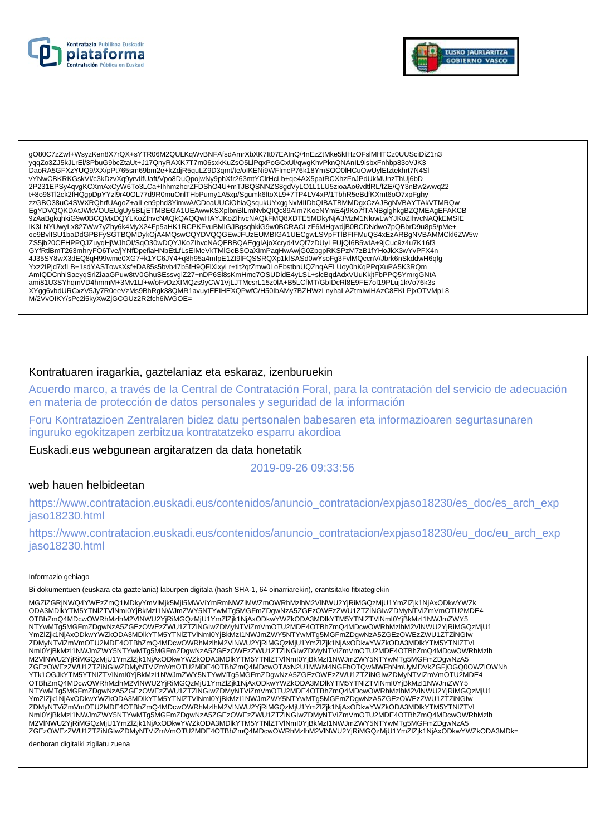



gO80C7zZwf+WsvzKen8X7rQX+sYTR06M2QULKgWvBNFAfsdAmrXbXK7It07EAInQ/4nEzZtMke5kfHzOFslMHTCz0UUSciDiZ1n3 vgqZo3ZJ5kJLrEI/3PbuG9bcZtaUt+J17QnyRAXK7T7m06sxkKuZsO5LlPqxPoGCxUl/qwqKhvPknQNAnIL9isbxFnhbp83oVJK3 DaoRA5GFXzYUQ9/XX/pPt765sm69bm2e+kZdjR5quLZ9D3qmt/te/oIKENi9WFlmcP76k18YmSOO0IHCuOwUyIEIztekhrt7N4Sl vYNwCBKRKGskVI/c3kDzvXq9yrvlifUaft/Vpo8DuQpojwNy9phXfr263mtYClrHcLb+qe4AX5patRCXhzFnJPdUkMUnzThUj6bD 2P231EPSy4qvgKCXmAxCyW6To3LCa+lhhmzhcrZFDShO4U+mTJBQSNNZS8gdVyLO1L1LU5zioaAo6vdtlRL/fZE/QY3nBw2wwq22 t+8o98Tl2ck2fHQgpDpYYzI9r40OL77d9R0muOnlTHbPumy1A5xp/Sgumk6ftoXL9+7TP4LV4xP/1TbhR5eBdfKXmt6oO7xpFghy zzGBO38uC4SWXRQhrfUAgoZ+aILen9phd3YimwA/CDoaUUCiOhiaQsqukUYxggNxMIIDbQIBATBMMDgxCzAJBgNVBAYTAkVTMRQw EgYDVQQKDAtJWkVOUEUgUy5BLjETMBEGA1UEAwwKSXplbnBlLmNvbQlQc89Alm7KoeNYmE4j9Ko7fTANBglghkgBZQMEAgEFAKCB oe9BvlISU1baDdGPBFySGTBQMDykOjA4MQswCQYDVQQGEwJFUzEUMBIGA1UECgwLSVpFTIBFIFMuQS4xEzARBgNVBAMMCkl6ZW5w ZS5jb20CEHPPQJZuyqHjWJhOI/SqO30wDQYJKoZIhvcNAQEBBQAEggIAjoXcryd4VQf7zDUyLFUjQI6B5wlA+9jCuc9z4u7K16f3 GYfRtlBmT263mhryFO6Tve/jYNfDpefiaHNbEtLfLsEIMeVkTMIGcBSOaXImPaqHwAwjG0ZpgpRKSPzM7zB1fYHoJkX3wYvPFX4n 4J35SY8wX3dEQ8qH99wme0XG7+k1YC6JY4+q8h95a4mfpE1Zt9lFQSSRQXp1kfSASd0wYsoFg3FvlMQccnV/Jbrk6nSkddwH6qfg Yxz2lPjd7xfLB+1sdYASTowsXsf+DA85s5bvb47b5fH9QFlXixyLr+tit2qtZmw0LoEbstbnUQZnqAELUoy0hKqPPqXuPA5K3RQm<br>AmlQDCnhiSaeyqSriZiaaGPuw8tV0GhuSEssvglZ27+nDP6Sl8sKmHmc7OSUDidE4yLSL+slcBqdAdxVUuKkjtFbPPQ5YmrgGNtA ami81U3SYhqmVD4hmmM+3Mv1Lf+w/oFvDzXIMQzs9yCW1VjLJTMcsrL15z0IA+B5LCfMT/GbIDcRl8E9FE7ol19PLuj1kVo76k3s XYgg6vbdURCxzV5Jy7R0eeVzMs9BhRgk38QMR1avuytEEIHEXQPwfC/H50lbAMy7BZHWzLnyhaLAZtmlwiHAzC8EKLPjxOTVMpL8 M/2VvOIKY/sPc2i5kyXwZjGCGUz2R2fch6iWGOE=

## Kontratuaren iragarkia, gaztelaniaz eta eskaraz, izenburuekin

Acuerdo marco, a través de la Central de Contratación Foral, para la contratación del servicio de adecuación en materia de protección de datos personales y seguridad de la información

Foru Kontratazioen Zentralaren bidez datu pertsonalen babesaren eta informazioaren segurtasunaren inguruko egokitzapen zerbitzua kontratatzeko esparru akordioa

Euskadi.eus webgunean argitaratzen da data honetatik

2019-09-26 09:33:56

### web hauen helbideetan

https://www.contratacion.euskadi.eus/contenidos/anuncio\_contratacion/expjaso18230/es\_doc/es\_arch\_exp iaso18230.html

https://www.contratacion.euskadi.eus/contenidos/anuncio\_contratacion/expjaso18230/eu\_doc/eu\_arch\_exp jaso18230.html

#### Informazio gehiago

Bi dokumentuen (euskara eta gaztelania) laburpen digitala (hash SHA-1, 64 oinarriarekin), erantsitako fitxategiekin

MGZIZGRINWQ4YWEzZmQ1MDkvYmVlMik5MiI5MWViYmRmNWZiMWZmOWRhMzlhM2VlNWU2YiRiMGQzMiU1YmZlZik1NiAxODkwYWZk ODA3MDIKYTM5YTNIZTVINmI0YjBkMzI1NWJmZWY5NTYwMTg5MGFmZDgwNzA5ZGEzOWEzZWU1ZTZiNGIwZDMyNTViZmVmOTU2MDE4 OTBhZmQ4MDcwOWRhMzIhM2VINWU2YjRiMGQzMjU1YmZlZjk1NjAxODkwYWZkODA3MDlkYTM5YTNIZTVINmI0YjBkMzI1NWJmZWY5 NTYwMTg5MGFmZDgwNzA5ZGEzOWEzZWU1ZTZINGIwZDMyNTViZmVmOTU2MDE4OTBhZmQ4MDcwOWRhMzInM2VINWU2YjRiMGQzMjU1 YmZlZjk1NjAxODkwYWZkODA3MDlkYTM5YTNlZTVlNml0YjBkMzl1NWJmZWY5NTYwMTg5MGFmZDgwNzA5ZGEzOWEzZWU1ZTZiNGlw ZDMyNTViZmVmOTU2MDE4OTBhZmQ4MDcwOWRhMzlhM2VINWU2YjRiMGQzMjU1YmZlZjk1NjAxODkwYWZkODA3MDlkYTM5YTNIZTVI Nml0YjBkMzI1NWJmZWY5NTYwMTg5MGFmZDgwNzA5ZGEzOWEzZWU1ZTZiNGlwZDMyNTViZmVmOTU2MDE4OTBhZmQ4MDcwOWRhMzlh<br>M2VINWU2YjRiMGQzMjU1YmZlZjk1NjAxODkwYWZkODA3MDlkYTM5YTNlZTVlNml0YjBkMzI1NWJmZWY5NTYwMTg5MGFmZDgwNzA5 ZGEzOWEzZWU1ZTZIŃGIwZDMvNTViZmVmOTU2MDE4OTBbZmO4MDcwOTAxN2U1MWM4NGEbOTOwMWEbNmUvMDVkZGEiOGO0OWZiOWNb YTk1OGJkYTM5YTNIZTVlNml0YjBkMzI1NWJmZWY5NTYwMTq5MGFmZDqwNzA5ZGEzOWEzZWU1ZTZiNGIwZDMyNTViZmVmOTU2MDE4 OTBhZmQ4MDcwOWRhMzIhM2VINWU2YjRiMGQzMjU1YmZlZjk1NjAxODkwYWZkODA3MDlkYTM5YTNIZTVINmI0YjBkMzI1NWJmZWY5 NTYwMTg5MGFmZDgwNzA5ZGEzOWEzZWU1ZTZINGIwZDMyNTViZmVmOTU2MDE4OTBhZmQ4MDcwOWRhMzInM2VINWU2YjRiMGQzMjU1 YmZlZjk1NjAxODkwYWZkODA3MDlkYTM5YTNlZTVlNml0YjBkMzl1NWJmZWY5NTYwMTg5MGFmZDgwNzA5ZGEzOWEzZWU1ZTZiNGlw ZDMyNTViZmVmOTU2MDE4OTBhZmQ4MDcwOWRhMzlhM2VINWU2YjRiMGQzMjU1YmZlZjk1NjAxODkwYWZkODA3MDlkYTM5YTNIZTVI Nml0YjBkMzI1NWJmZWY5NTYwMTg5MGFmZDgwNzA5ZGEzOWEzZWU1ZTZiNGlwZDMyNTViZmVmOTU2MDE4OTBhZmQ4MDcwOWRhMzlh<br>M2VINWU2YjRiMGQzMjU1YmZlZjk1NjAxODkwYWZkODA3MDlkYTM5YTNlZTVlNml0YjBkMzI1NWJmZWY5NTYwMTg5MGFmZDgwNzA5 ZGEzOWEzZWU1ZTZiŃGIwZDMyNTViZmVmOTU2MDE4OTBhZmQ4MDcwOWRhMzIhM2VINWU2YjRiMGQzMjU1YmZlZjk1NjAxODkwYWZkODA3MDk=

denboran digitalki zigilatu zuena